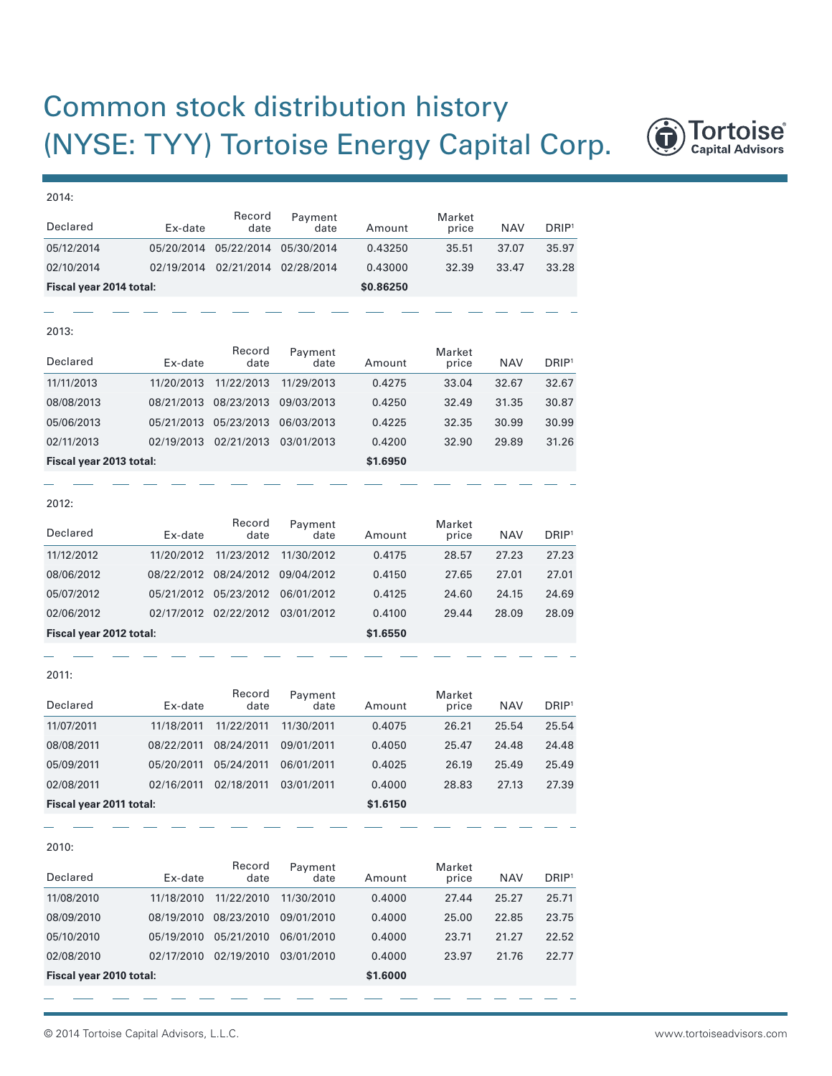## Common stock distribution history (NYSE: TYY) Tortoise Energy Capital Corp.



| 2014:                   |            |                       |                 |           |                 |            |                   |
|-------------------------|------------|-----------------------|-----------------|-----------|-----------------|------------|-------------------|
| Declared                | Ex-date    | Record<br>date        | Payment<br>date | Amount    | Market<br>price | <b>NAV</b> | DRIP <sup>1</sup> |
| 05/12/2014              | 05/20/2014 | 05/22/2014            | 05/30/2014      | 0.43250   | 35.51           | 37.07      | 35.97             |
| 02/10/2014              | 02/19/2014 | 02/21/2014            | 02/28/2014      | 0.43000   | 32.39           | 33.47      | 33.28             |
| Fiscal year 2014 total: |            |                       |                 | \$0.86250 |                 |            |                   |
|                         |            |                       |                 |           |                 |            |                   |
| 2013:                   |            |                       |                 |           |                 |            |                   |
| Declared                | Ex-date    | Record<br>date        | Payment<br>date | Amount    | Market<br>price | <b>NAV</b> | DRIP <sup>1</sup> |
| 11/11/2013              | 11/20/2013 | 11/22/2013            | 11/29/2013      | 0.4275    | 33.04           | 32.67      | 32.67             |
| 08/08/2013              | 08/21/2013 | 08/23/2013            | 09/03/2013      | 0.4250    | 32.49           | 31.35      | 30.87             |
| 05/06/2013              | 05/21/2013 | 05/23/2013            | 06/03/2013      | 0.4225    | 32.35           | 30.99      | 30.99             |
| 02/11/2013              | 02/19/2013 | 02/21/2013            | 03/01/2013      | 0.4200    | 32.90           | 29.89      | 31.26             |
| Fiscal year 2013 total: |            |                       | \$1.6950        |           |                 |            |                   |
|                         |            |                       |                 |           |                 |            |                   |
| 2012:                   |            |                       |                 |           |                 |            |                   |
| Declared                | Ex-date    | Record<br>date        | Payment<br>date | Amount    | Market<br>price | <b>NAV</b> | DRIP <sup>1</sup> |
| 11/12/2012              | 11/20/2012 | 11/23/2012            | 11/30/2012      | 0.4175    | 28.57           | 27.23      | 27.23             |
| 08/06/2012              | 08/22/2012 | 08/24/2012            | 09/04/2012      | 0.4150    | 27.65           | 27.01      | 27.01             |
| 05/07/2012              | 05/21/2012 | 05/23/2012            | 06/01/2012      | 0.4125    | 24.60           | 24.15      | 24.69             |
| 02/06/2012              |            | 02/17/2012 02/22/2012 | 03/01/2012      | 0.4100    | 29.44           | 28.09      | 28.09             |
| Fiscal year 2012 total: |            |                       |                 | \$1.6550  |                 |            |                   |
|                         |            |                       |                 |           |                 |            |                   |
| 2011:                   |            |                       |                 |           |                 |            |                   |
| Declared                | Ex-date    | Record<br>date        | Payment<br>date | Amount    | Market<br>price | <b>NAV</b> | DRIP <sup>1</sup> |
| 11/07/2011              | 11/18/2011 | 11/22/2011            | 11/30/2011      | 0.4075    | 26.21           | 25.54      | 25.54             |
| 08/08/2011              | 08/22/2011 | 08/24/2011            | 09/01/2011      | 0.4050    | 25.47           | 24.48      | 24.48             |
| 05/09/2011              | 05/20/2011 | 05/24/2011            | 06/01/2011      | 0.4025    | 26.19           | 25.49      | 25.49             |
| 02/08/2011              | 02/16/2011 | 02/18/2011            | 03/01/2011      | 0.4000    | 28.83           | 27.13      | 27.39             |
| Fiscal year 2011 total: |            | \$1.6150              |                 |           |                 |            |                   |
|                         |            |                       |                 |           |                 |            |                   |
| 2010:                   |            |                       |                 |           |                 |            |                   |
| Declared                | Ex-date    | Record<br>date        | Payment<br>date | Amount    | Market<br>price | <b>NAV</b> | DRIP <sup>1</sup> |
| 11/08/2010              | 11/18/2010 | 11/22/2010            | 11/30/2010      | 0.4000    | 27.44           | 25.27      | 25.71             |
| 08/09/2010              |            | 08/19/2010 08/23/2010 | 09/01/2010      | 0.4000    | 25.00           | 22.85      | 23.75             |

05/10/2010 05/19/2010 05/21/2010 06/01/2010 0.4000 23.71 21.27 22.52 02/08/2010 02/17/2010 02/19/2010 03/01/2010 0.4000 23.97 21.76 22.77

**Fiscal year 2010 total: \$1.6000 \$1.6000**